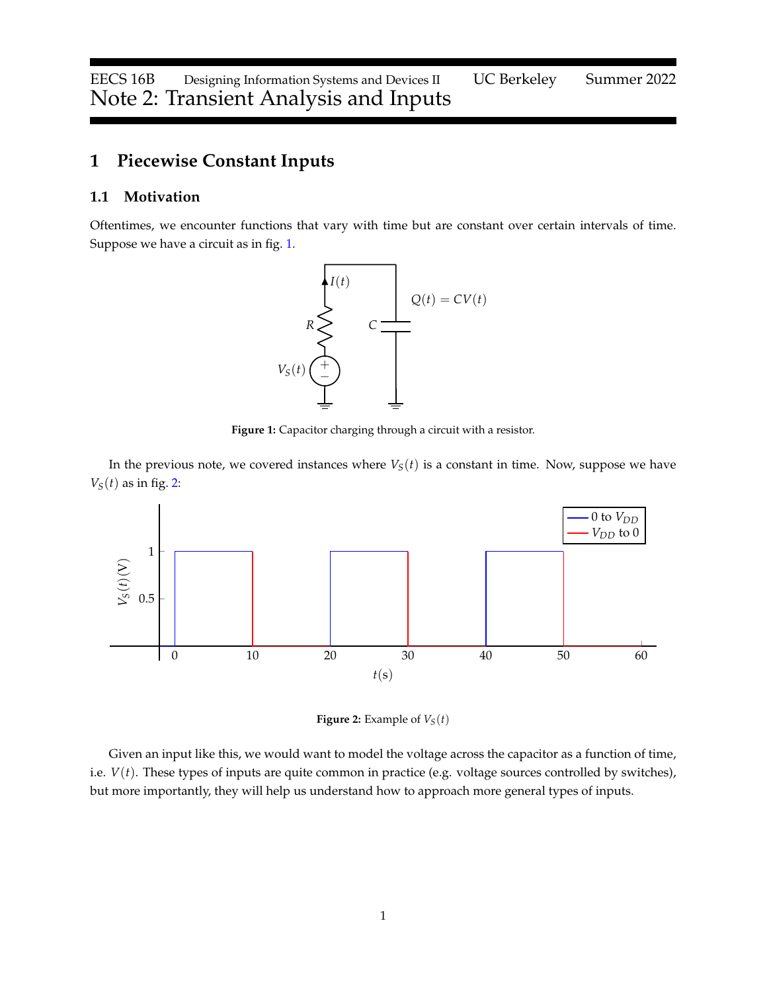# **1 Piecewise Constant Inputs**

## **1.1 Motivation**

<span id="page-0-0"></span>Oftentimes, we encounter functions that vary with time but are constant over certain intervals of time. Suppose we have a circuit as in fig. [1.](#page-0-0)



**Figure 1:** Capacitor charging through a circuit with a resistor.

In the previous note, we covered instances where  $V<sub>S</sub>(t)$  is a constant in time. Now, suppose we have  $V_S(t)$  as in fig. [2:](#page-0-1)

<span id="page-0-1"></span>

**Figure 2:** Example of  $V_S(t)$ 

Given an input like this, we would want to model the voltage across the capacitor as a function of time, i.e. *V*(*t*). These types of inputs are quite common in practice (e.g. voltage sources controlled by switches), but more importantly, they will help us understand how to approach more general types of inputs.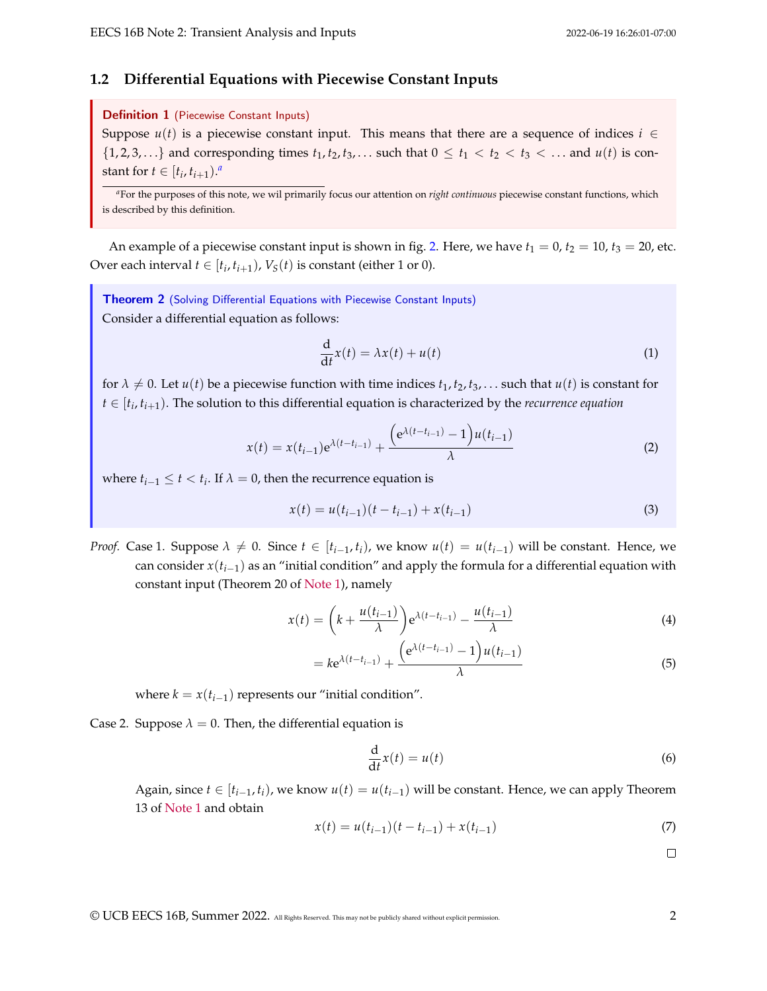#### **1.2 Differential Equations with Piecewise Constant Inputs**

#### Definition 1 (Piecewise Constant Inputs)

Suppose  $u(t)$  is a piecewise constant input. This means that there are a sequence of indices  $i \in$  $\{1, 2, 3, \ldots\}$  and corresponding times  $t_1, t_2, t_3, \ldots$  such that  $0 \le t_1 < t_2 < t_3 < \ldots$  and  $u(t)$  is const[a](#page-1-0)nt for  $t \in [t_i, t_{i+1})^a$ 

<span id="page-1-0"></span>*<sup>a</sup>*For the purposes of this note, we wil primarily focus our attention on *right continuous* piecewise constant functions, which is described by this definition.

An example of a piecewise constant input is shown in fig. [2.](#page-0-1) Here, we have  $t_1 = 0$ ,  $t_2 = 10$ ,  $t_3 = 20$ , etc. Over each interval  $t \in [t_i, t_{i+1})$ ,  $V_S(t)$  is constant (either 1 or 0).

<span id="page-1-2"></span>**Theorem 2** (Solving Differential Equations with Piecewise Constant Inputs) Consider a differential equation as follows:

$$
\frac{\mathrm{d}}{\mathrm{d}t}x(t) = \lambda x(t) + u(t) \tag{1}
$$

for  $\lambda \neq 0$ . Let  $u(t)$  be a piecewise function with time indices  $t_1, t_2, t_3, \ldots$  such that  $u(t)$  is constant for *t* ∈ [*t<sup>i</sup>* , *ti*+1). The solution to this differential equation is characterized by the *recurrence equation*

<span id="page-1-1"></span>
$$
x(t) = x(t_{i-1})e^{\lambda(t-t_{i-1})} + \frac{(e^{\lambda(t-t_{i-1})}-1)u(t_{i-1})}{\lambda}
$$
 (2)

where  $t_{i-1} \leq t < t_i$ . If  $\lambda = 0$ , then the recurrence equation is

$$
x(t) = u(t_{i-1})(t - t_{i-1}) + x(t_{i-1})
$$
\n(3)

*Proof.* Case 1. Suppose  $\lambda \neq 0$ . Since  $t \in [t_{i-1}, t_i)$ , we know  $u(t) = u(t_{i-1})$  will be constant. Hence, we can consider  $x(t_{i-1})$  as an "initial condition" and apply the formula for a differential equation with constant input (Theorem 20 of [Note 1\)](https://eecs16b.org/notes/sp22/note01.pdf), namely

$$
x(t) = \left(k + \frac{u(t_{i-1})}{\lambda}\right) e^{\lambda(t - t_{i-1})} - \frac{u(t_{i-1})}{\lambda}
$$
(4)

$$
= k e^{\lambda(t - t_{i-1})} + \frac{\left(e^{\lambda(t - t_{i-1})} - 1\right)u(t_{i-1})}{\lambda} \tag{5}
$$

where  $k = x(t_{i-1})$  represents our "initial condition".

Case 2. Suppose  $\lambda = 0$ . Then, the differential equation is

$$
\frac{\mathrm{d}}{\mathrm{d}t}x(t) = u(t) \tag{6}
$$

Again, since  $t \in [t_{i-1}, t_i)$ , we know  $u(t) = u(t_{i-1})$  will be constant. Hence, we can apply Theorem 13 of [Note 1](https://eecs16b.org/notes/sp22/note01.pdf) and obtain

$$
x(t) = u(t_{i-1})(t - t_{i-1}) + x(t_{i-1})
$$
\n(7)

 $\Box$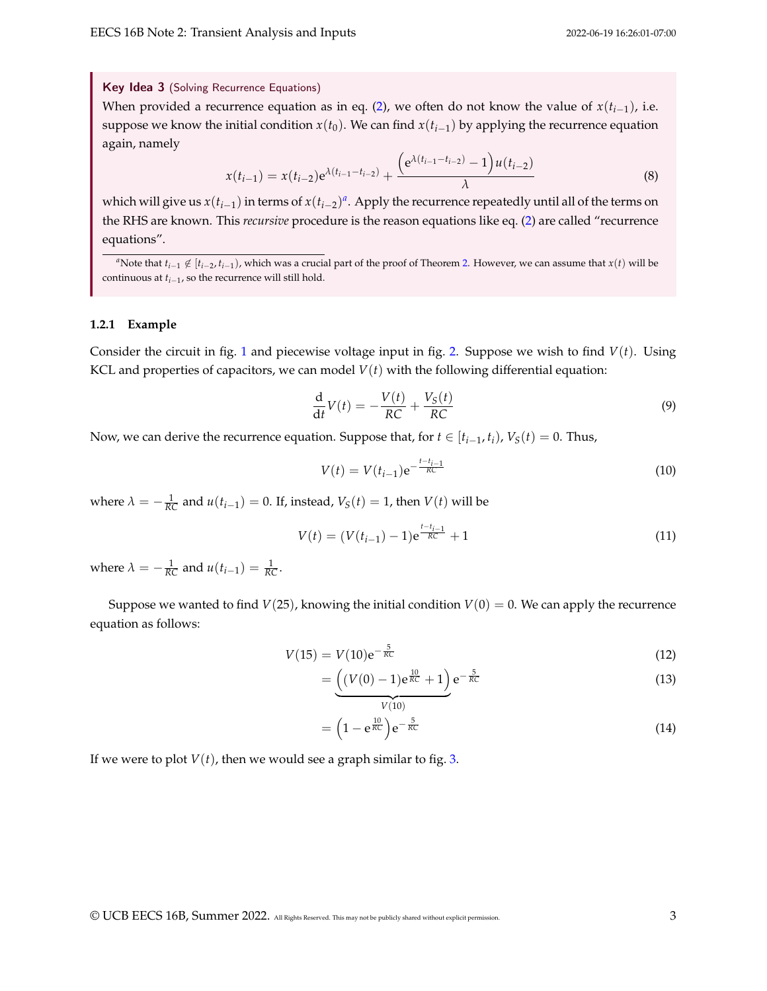Key Idea 3 (Solving Recurrence Equations)

When provided a recurrence equation as in eq. [\(2\)](#page-1-1), we often do not know the value of  $x(t_{i-1})$ , i.e. suppose we know the initial condition  $x(t_0)$ . We can find  $x(t_{i-1})$  by applying the recurrence equation again, namely

$$
x(t_{i-1}) = x(t_{i-2})e^{\lambda(t_{i-1}-t_{i-2})} + \frac{(e^{\lambda(t_{i-1}-t_{i-2})}-1)u(t_{i-2})}{\lambda}
$$
(8)

which will give us  $x(t_{i-1})$  in terms of  $x(t_{i-2})^a$  $x(t_{i-2})^a$ . Apply the recurrence repeatedly until all of the terms on the RHS are known. This *recursive* procedure is the reason equations like eq. [\(2\)](#page-1-1) are called "recurrence equations".

<span id="page-2-0"></span>*a*Note that  $t_{i-1}$  ∉ [ $t_{i-2}$ ,  $t_{i-1}$ ), which was a crucial part of the proof of Theorem [2.](#page-1-2) However, we can assume that *x*(*t*) will be continuous at *ti*−<sup>1</sup> , so the recurrence will still hold.

#### **1.2.1 Example**

Consider the circuit in fig. [1](#page-0-0) and piecewise voltage input in fig. [2.](#page-0-1) Suppose we wish to find  $V(t)$ . Using KCL and properties of capacitors, we can model  $V(t)$  with the following differential equation:

$$
\frac{\mathrm{d}}{\mathrm{d}t}V(t) = -\frac{V(t)}{RC} + \frac{V_S(t)}{RC}
$$
\n(9)

Now, we can derive the recurrence equation. Suppose that, for  $t \in [t_{i-1}, t_i)$ ,  $V_S(t) = 0$ . Thus,

$$
V(t) = V(t_{i-1})e^{-\frac{t-t_{i-1}}{RC}}
$$
\n(10)

where  $\lambda = -\frac{1}{RC}$  and  $u(t_{i-1}) = 0$ . If, instead,  $V_S(t) = 1$ , then  $V(t)$  will be

$$
V(t) = (V(t_{i-1}) - 1)e^{\frac{t - t_{i-1}}{RC}} + 1
$$
\n(11)

where  $\lambda = -\frac{1}{RC}$  and  $u(t_{i-1}) = \frac{1}{RC}$ .

Suppose we wanted to find  $V(25)$ , knowing the initial condition  $V(0) = 0$ . We can apply the recurrence equation as follows:

$$
V(15) = V(10)e^{-\frac{5}{RC}}
$$
 (12)

$$
= \underbrace{\left( (V(0) - 1)e^{\frac{10}{RC}} + 1 \right)}_{V(10)} e^{-\frac{5}{RC}}
$$
(13)

$$
= \left(1 - e^{\frac{10}{RC}}\right) e^{-\frac{5}{RC}}
$$
 (14)

If we were to plot  $V(t)$ , then we would see a graph similar to fig. [3.](#page-3-0)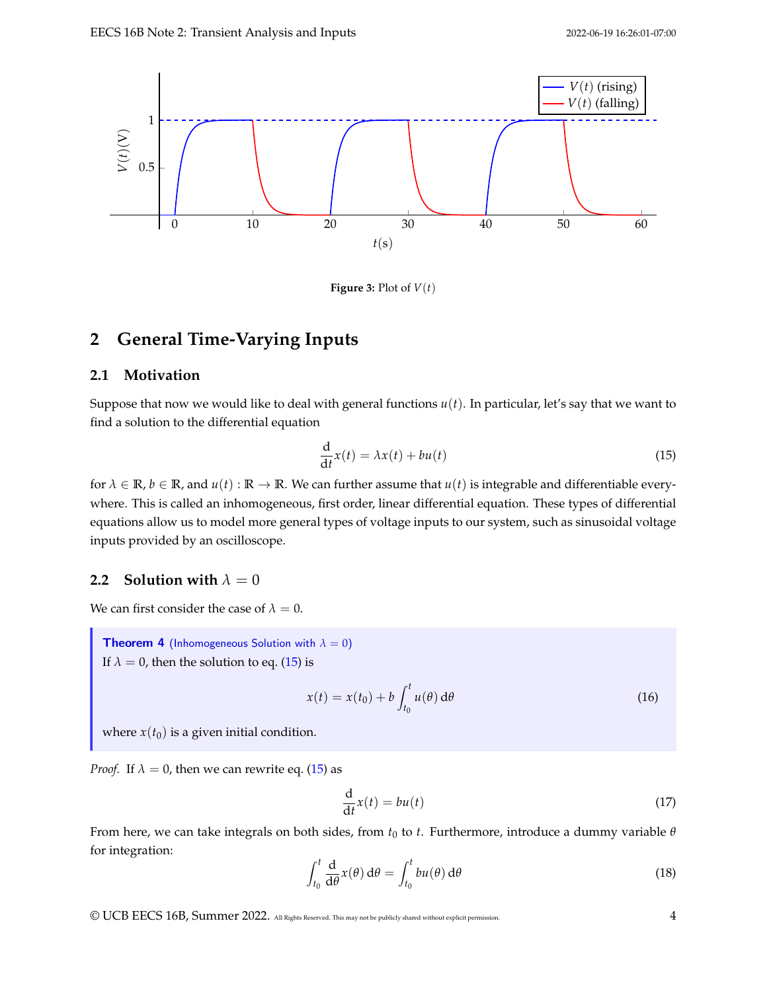<span id="page-3-0"></span>

**Figure 3:** Plot of  $V(t)$ 

## **2 General Time-Varying Inputs**

## **2.1 Motivation**

Suppose that now we would like to deal with general functions  $u(t)$ . In particular, let's say that we want to find a solution to the differential equation

<span id="page-3-1"></span>
$$
\frac{\mathrm{d}}{\mathrm{d}t}x(t) = \lambda x(t) + bu(t) \tag{15}
$$

for  $\lambda \in \mathbb{R}$ ,  $b \in \mathbb{R}$ , and  $u(t) : \mathbb{R} \to \mathbb{R}$ . We can further assume that  $u(t)$  is integrable and differentiable everywhere. This is called an inhomogeneous, first order, linear differential equation. These types of differential equations allow us to model more general types of voltage inputs to our system, such as sinusoidal voltage inputs provided by an oscilloscope.

### **2.2 Solution with**  $\lambda = 0$

We can first consider the case of  $\lambda = 0$ .

**Theorem 4** (Inhomogeneous Solution with  $\lambda = 0$ ) If  $\lambda = 0$ , then the solution to eq. [\(15\)](#page-3-1) is

$$
x(t) = x(t_0) + b \int_{t_0}^t u(\theta) d\theta
$$
 (16)

where  $x(t_0)$  is a given initial condition.

*Proof.* If  $\lambda = 0$ , then we can rewrite eq. [\(15\)](#page-3-1) as

$$
\frac{\mathrm{d}}{\mathrm{d}t}x(t) = bu(t) \tag{17}
$$

From here, we can take integrals on both sides, from  $t_0$  to  $t$ . Furthermore, introduce a dummy variable  $\theta$ for integration:

$$
\int_{t_0}^t \frac{d}{d\theta} \chi(\theta) d\theta = \int_{t_0}^t bu(\theta) d\theta \tag{18}
$$

© UCB EECS 16B, Summer 2022. All Rights Reserved. This may not be publicly shared without explicit permission. 4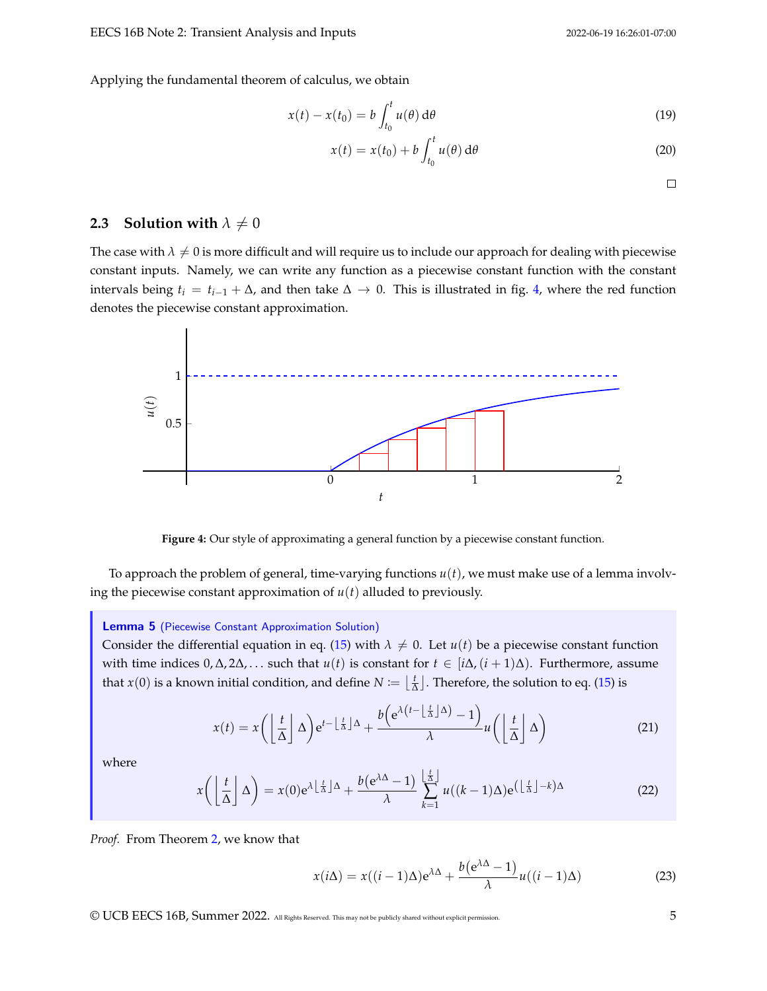Applying the fundamental theorem of calculus, we obtain

$$
x(t) - x(t_0) = b \int_{t_0}^t u(\theta) d\theta
$$
 (19)

$$
x(t) = x(t_0) + b \int_{t_0}^t u(\theta) d\theta
$$
 (20)

 $\Box$ 

## **2.3** Solution with  $\lambda \neq 0$

The case with  $\lambda \neq 0$  is more difficult and will require us to include our approach for dealing with piecewise constant inputs. Namely, we can write any function as a piecewise constant function with the constant intervals being *t<sup>i</sup>* = *ti*−<sup>1</sup> + ∆, and then take ∆ → 0. This is illustrated in fig. [4,](#page-4-0) where the red function denotes the piecewise constant approximation.

<span id="page-4-0"></span>

**Figure 4:** Our style of approximating a general function by a piecewise constant function.

To approach the problem of general, time-varying functions  $u(t)$ , we must make use of a lemma involving the piecewise constant approximation of *u*(*t*) alluded to previously.

#### <span id="page-4-1"></span>Lemma 5 (Piecewise Constant Approximation Solution)

Consider the differential equation in eq. [\(15\)](#page-3-1) with  $\lambda \neq 0$ . Let  $u(t)$  be a piecewise constant function with time indices  $0, \Delta, 2\Delta, \ldots$  such that  $u(t)$  is constant for  $t \in [i\Delta, (i+1)\Delta)$ . Furthermore, assume that  $x(0)$  is a known initial condition, and define  $N \coloneqq \lfloor \frac{t}{\Delta} \rfloor$ . Therefore, the solution to eq. [\(15\)](#page-3-1) is

$$
x(t) = x \left( \left\lfloor \frac{t}{\Delta} \right\rfloor \Delta \right) e^{t - \left\lfloor \frac{t}{\Delta} \right\rfloor \Delta} + \frac{b \left( e^{\lambda \left( t - \left\lfloor \frac{t}{\Delta} \right\rfloor \Delta \right)} - 1 \right)}{\lambda} u \left( \left\lfloor \frac{t}{\Delta} \right\rfloor \Delta \right)
$$
(21)

where

<span id="page-4-2"></span>
$$
x\left(\left\lfloor \frac{t}{\Delta} \right\rfloor \Delta\right) = x(0)e^{\lambda \left\lfloor \frac{t}{\Delta} \right\rfloor \Delta} + \frac{b(e^{\lambda \Delta} - 1)}{\lambda} \sum_{k=1}^{\left\lfloor \frac{t}{\Delta} \right\rfloor} u((k-1)\Delta)e^{\left(\left\lfloor \frac{t}{\Delta} \right\rfloor - k\right)\Delta}
$$
(22)

#### *Proof.* From Theorem [2,](#page-1-2) we know that

$$
x(i\Delta) = x((i-1)\Delta)e^{\lambda\Delta} + \frac{b(e^{\lambda\Delta} - 1)}{\lambda}u((i-1)\Delta)
$$
 (23)

© UCB EECS 16B, Summer 2022. All Rights Reserved. This may not be publicly shared without explicit permission. 5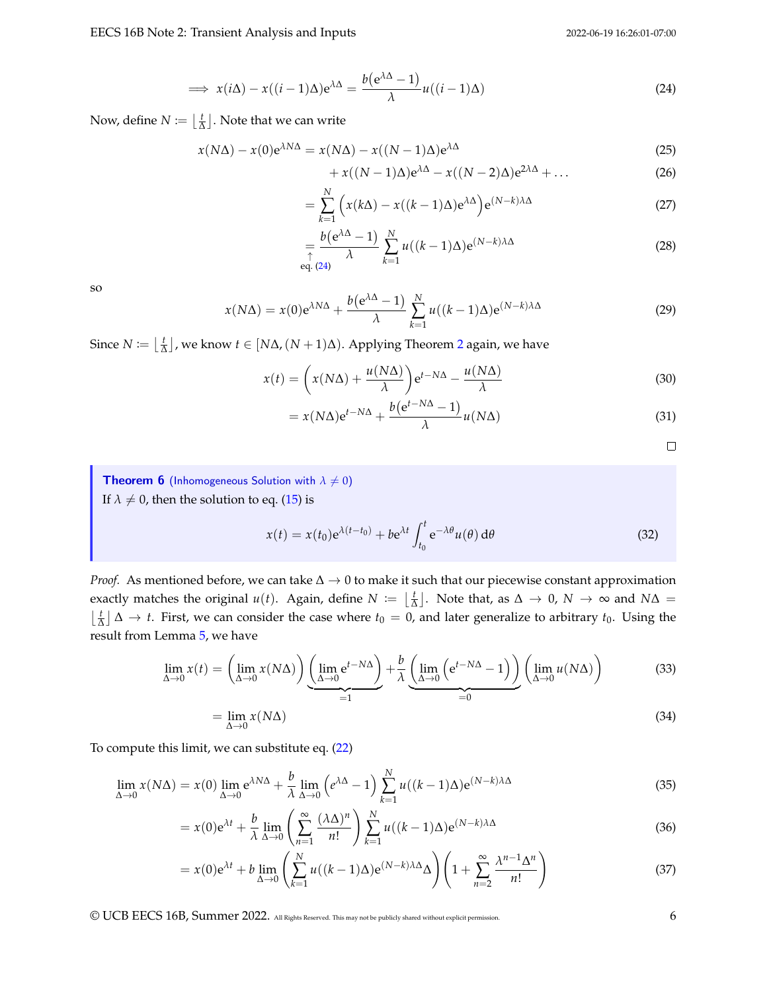$$
\implies x(i\Delta) - x((i-1)\Delta)e^{\lambda\Delta} = \frac{b(e^{\lambda\Delta} - 1)}{\lambda}u((i-1)\Delta)
$$
\n(24)

Now, define  $N \coloneqq \left\lfloor \frac{t}{\Delta} \right\rfloor$ . Note that we can write

$$
x(N\Delta) - x(0)e^{\lambda N\Delta} = x(N\Delta) - x((N-1)\Delta)e^{\lambda\Delta}
$$
\n(25)

<span id="page-5-0"></span>
$$
+ x((N-1)\Delta)e^{\lambda\Delta} - x((N-2)\Delta)e^{2\lambda\Delta} + \dots
$$
 (26)

$$
= \sum_{k=1}^{N} \left( x(k\Delta) - x((k-1)\Delta) e^{\lambda \Delta} \right) e^{(N-k)\lambda \Delta}
$$
\n(27)

$$
=\frac{b(e^{\lambda\Delta}-1)}{\lambda}\sum_{k=1}^{N}u((k-1)\Delta)e^{(N-k)\lambda\Delta}
$$
\n(28)

so

$$
x(N\Delta) = x(0)e^{\lambda N\Delta} + \frac{b(e^{\lambda\Delta} - 1)}{\lambda} \sum_{k=1}^{N} u((k-1)\Delta)e^{(N-k)\lambda\Delta}
$$
 (29)

Since  $N \coloneqq \left\lfloor \frac{t}{\Delta} \right\rfloor$ , we know  $t \in [N\Delta, (N+1)\Delta)$ . Applying Theorem [2](#page-1-2) again, we have

$$
x(t) = \left(x(N\Delta) + \frac{u(N\Delta)}{\lambda}\right) e^{t - N\Delta} - \frac{u(N\Delta)}{\lambda}
$$
 (30)

$$
= x(N\Delta)e^{t-N\Delta} + \frac{b(e^{t-N\Delta} - 1)}{\lambda}u(N\Delta)
$$
\n(31)

<span id="page-5-1"></span> $\Box$ 

<span id="page-5-2"></span>**Theorem 6** (Inhomogeneous Solution with  $\lambda \neq 0$ ) If  $\lambda \neq 0$ , then the solution to eq. [\(15\)](#page-3-1) is

<span id="page-5-3"></span>
$$
x(t) = x(t_0)e^{\lambda(t-t_0)} + be^{\lambda t} \int_{t_0}^t e^{-\lambda \theta} u(\theta) d\theta
$$
 (32)

*Proof.* As mentioned before, we can take  $\Delta \rightarrow 0$  to make it such that our piecewise constant approximation exactly matches the original  $u(t)$ . Again, define  $N \coloneqq \lfloor \frac{t}{\Delta} \rfloor$ . Note that, as  $\Delta \to 0$ ,  $N \to \infty$  and  $N\Delta =$  $\lfloor \frac{t}{\Delta} \rfloor$  ∆ → *t*. First, we can consider the case where *t*<sub>0</sub> = 0, and later generalize to arbitrary *t*<sub>0</sub>. Using the result from Lemma [5,](#page-4-1) we have

$$
\lim_{\Delta \to 0} x(t) = \left( \lim_{\Delta \to 0} x(N\Delta) \right) \underbrace{\left( \lim_{\Delta \to 0} e^{t - N\Delta} \right)}_{=1} + \frac{b}{\lambda} \underbrace{\left( \lim_{\Delta \to 0} \left( e^{t - N\Delta} - 1 \right) \right)}_{=0} \left( \lim_{\Delta \to 0} u(N\Delta) \right)
$$
(33)

To compute this limit, we can substitute eq. 
$$
(22)
$$

$$
\lim_{\Delta \to 0} x(N\Delta) = x(0) \lim_{\Delta \to 0} e^{\lambda N\Delta} + \frac{b}{\lambda} \lim_{\Delta \to 0} \left( e^{\lambda \Delta} - 1 \right) \sum_{k=1}^{N} u((k-1)\Delta) e^{(N-k)\lambda \Delta}
$$
\n(35)

$$
= x(0)e^{\lambda t} + \frac{b}{\lambda} \lim_{\Delta \to 0} \left( \sum_{n=1}^{\infty} \frac{(\lambda \Delta)^n}{n!} \right) \sum_{k=1}^{N} u((k-1)\Delta) e^{(N-k)\lambda \Delta}
$$
(36)

$$
= x(0)e^{\lambda t} + b \lim_{\Delta \to 0} \left( \sum_{k=1}^{N} u((k-1)\Delta)e^{(N-k)\lambda \Delta} \Delta \right) \left( 1 + \sum_{n=2}^{\infty} \frac{\lambda^{n-1} \Delta^n}{n!} \right)
$$
(37)

© UCB EECS 16B, Summer 2022. All Rights Reserved. This may not be publicly shared without explicit permission. 6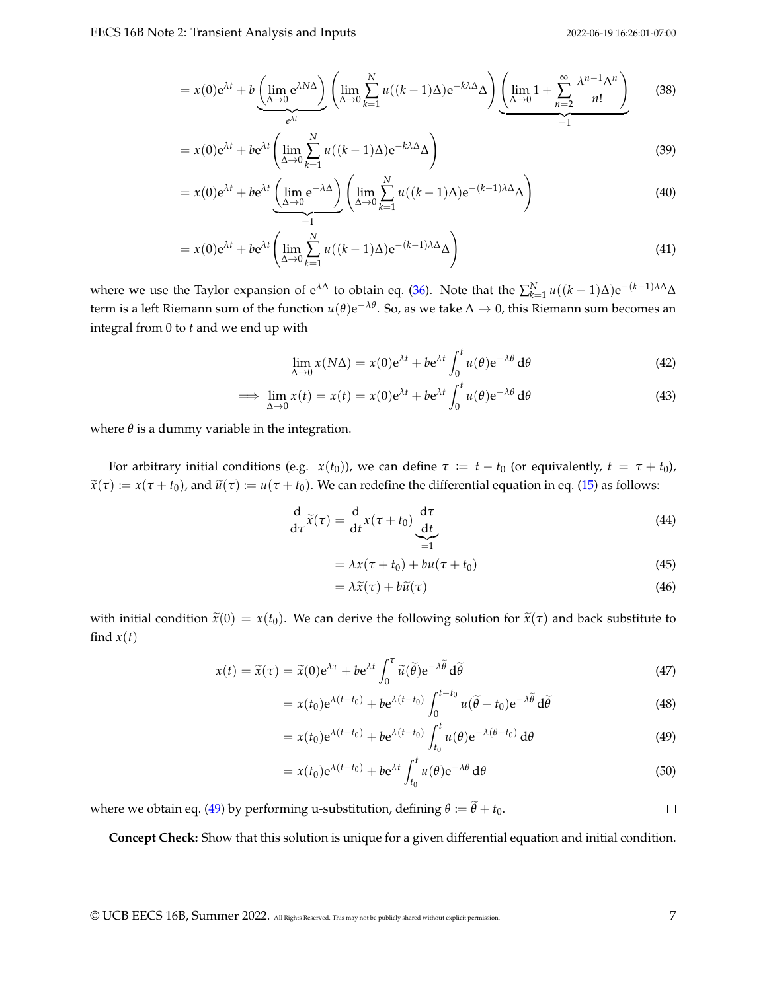$$
= x(0)e^{\lambda t} + b\underbrace{\left(\lim_{\Delta \to 0} e^{\lambda N\Delta}\right)}_{e^{\lambda t}} \left(\lim_{\Delta \to 0} \sum_{k=1}^{N} u((k-1)\Delta)e^{-k\lambda \Delta} \Delta\right) \underbrace{\left(\lim_{\Delta \to 0} 1 + \sum_{n=2}^{\infty} \frac{\lambda^{n-1} \Delta^n}{n!}\right)}_{=1}
$$
 (38)

$$
= x(0)e^{\lambda t} + be^{\lambda t} \left( \lim_{\Delta \to 0} \sum_{k=1}^{N} u((k-1)\Delta)e^{-k\lambda \Delta} \Delta \right)
$$
 (39)

$$
= x(0)e^{\lambda t} + be^{\lambda t} \underbrace{\left(\lim_{\Delta \to 0} e^{-\lambda \Delta}\right)}_{=1} \left(\lim_{\Delta \to 0} \sum_{k=1}^{N} u((k-1)\Delta)e^{-(k-1)\lambda \Delta} \Delta\right)
$$
(40)

$$
= x(0)e^{\lambda t} + be^{\lambda t} \left( \lim_{\Delta \to 0} \sum_{k=1}^{N} u((k-1)\Delta)e^{-(k-1)\lambda \Delta} \Delta \right)
$$
\n(41)

where we use the Taylor expansion of  $e^{\lambda\Delta}$  to obtain eq. [\(36\)](#page-5-1). Note that the  $\sum_{k=1}^{N} u((k-1)\Delta)e^{-(k-1)\lambda\Delta}\Delta$ term is a left Riemann sum of the function *u*(*θ*)e <sup>−</sup>*λθ*. So, as we take ∆ → 0, this Riemann sum becomes an integral from 0 to *t* and we end up with

$$
\lim_{\Delta \to 0} x(N\Delta) = x(0)e^{\lambda t} + be^{\lambda t} \int_0^t u(\theta)e^{-\lambda \theta} d\theta
$$
\n(42)

$$
\implies \lim_{\Delta \to 0} x(t) = x(t) = x(0)e^{\lambda t} + be^{\lambda t} \int_0^t u(\theta)e^{-\lambda \theta} d\theta \tag{43}
$$

where  $\theta$  is a dummy variable in the integration.

For arbitrary initial conditions (e.g.  $x(t_0)$ ), we can define  $\tau := t - t_0$  (or equivalently,  $t = \tau + t_0$ ),  $\tilde{x}(\tau) := x(\tau + t_0)$ , and  $\tilde{u}(\tau) := u(\tau + t_0)$ . We can redefine the differential equation in eq. [\(15\)](#page-3-1) as follows:

$$
\frac{d}{d\tau}\widetilde{x}(\tau) = \frac{d}{dt}x(\tau + t_0)\underbrace{\frac{d\tau}{dt}}_{=1}
$$
\n(44)

$$
= \lambda x(\tau + t_0) + bu(\tau + t_0)
$$
\n(45)

<span id="page-6-0"></span>
$$
= \lambda \widetilde{x}(\tau) + b\widetilde{u}(\tau) \tag{46}
$$

with initial condition  $\tilde{x}(0) = x(t_0)$ . We can derive the following solution for  $\tilde{x}(\tau)$  and back substitute to find  $x(t)$ 

$$
x(t) = \tilde{x}(\tau) = \tilde{x}(0)e^{\lambda \tau} + be^{\lambda t} \int_0^{\tau} \tilde{u}(\tilde{\theta})e^{-\lambda \tilde{\theta}} d\tilde{\theta}
$$
\n(47)

$$
= x(t_0) e^{\lambda(t-t_0)} + b e^{\lambda(t-t_0)} \int_0^{t-t_0} u(\tilde{\theta} + t_0) e^{-\lambda \tilde{\theta}} d\tilde{\theta}
$$
 (48)

$$
= x(t_0) e^{\lambda(t-t_0)} + b e^{\lambda(t-t_0)} \int_{t_0}^t u(\theta) e^{-\lambda(\theta-t_0)} d\theta \qquad (49)
$$

$$
= x(t_0) e^{\lambda(t-t_0)} + b e^{\lambda t} \int_{t_0}^t u(\theta) e^{-\lambda \theta} d\theta
$$
\n(50)

where we obtain eq. [\(49\)](#page-6-0) by performing u-substitution, defining  $\theta := \tilde{\theta} + t_0$ .  $\Box$ 

**Concept Check:** Show that this solution is unique for a given differential equation and initial condition.